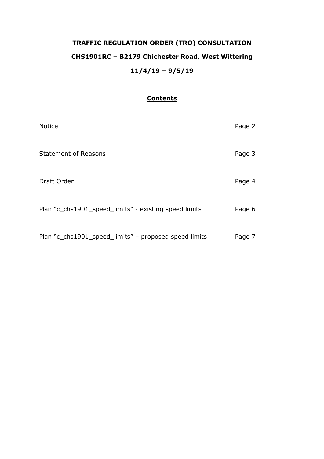# **TRAFFIC REGULATION ORDER (TRO) CONSULTATION CHS1901RC – B2179 Chichester Road, West Wittering 11/4/19 – 9/5/19**

# **Contents**

| <b>Notice</b>                                         | Page 2 |
|-------------------------------------------------------|--------|
| <b>Statement of Reasons</b>                           | Page 3 |
| Draft Order                                           | Page 4 |
| Plan "c_chs1901_speed_limits" - existing speed limits | Page 6 |
| Plan "c_chs1901_speed_limits" - proposed speed limits | Page 7 |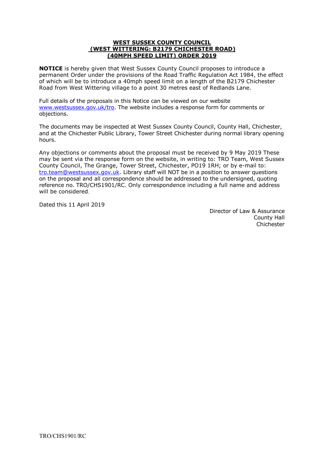#### **WEST SUSSEX COUNTY COUNCIL (WEST WITTERING: B2179 CHICHESTER ROAD) (40MPH SPEED LIMIT) ORDER 2019**

**NOTICE** is hereby given that West Sussex County Council proposes to introduce a permanent Order under the provisions of the Road Traffic Regulation Act 1984, the effect of which will be to introduce a 40mph speed limit on a length of the B2179 Chichester Road from West Wittering village to a point 30 metres east of Redlands Lane.

Full details of the proposals in this Notice can be viewed on our website [www.westsussex.gov.uk/tro.](http://www.westsussex.gov.uk/tro) The website includes a response form for comments or objections.

The documents may be inspected at West Sussex County Council, County Hall, Chichester, and at the Chichester Public Library, Tower Street Chichester during normal library opening hours.

Any objections or comments about the proposal must be received by 9 May 2019 These may be sent via the response form on the website, in writing to: TRO Team, West Sussex County Council, The Grange, Tower Street, Chichester, PO19 1RH; or by e-mail to: [tro.team@westsussex.gov.uk.](mailto:tro.team@westsussex.gov.uk) Library staff will NOT be in a position to answer questions on the proposal and all correspondence should be addressed to the undersigned, quoting reference no. TRO/CHS1901/RC. Only correspondence including a full name and address will be considered.

Dated this 11 April 2019

 Director of Law & Assurance County Hall Chichester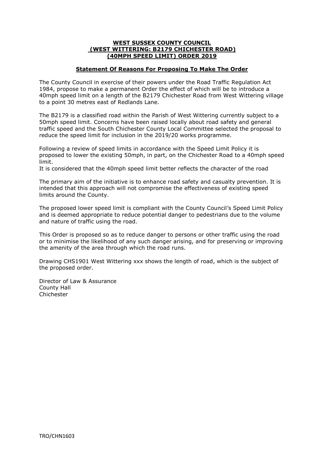#### **WEST SUSSEX COUNTY COUNCIL (WEST WITTERING: B2179 CHICHESTER ROAD) (40MPH SPEED LIMIT) ORDER 2019**

### **Statement Of Reasons For Proposing To Make The Order**

The County Council in exercise of their powers under the Road Traffic Regulation Act 1984, propose to make a permanent Order the effect of which will be to introduce a 40mph speed limit on a length of the B2179 Chichester Road from West Wittering village to a point 30 metres east of Redlands Lane.

The B2179 is a classified road within the Parish of West Wittering currently subject to a 50mph speed limit. Concerns have been raised locally about road safety and general traffic speed and the South Chichester County Local Committee selected the proposal to reduce the speed limit for inclusion in the 2019/20 works programme.

Following a review of speed limits in accordance with the Speed Limit Policy it is proposed to lower the existing 50mph, in part, on the Chichester Road to a 40mph speed limit.

It is considered that the 40mph speed limit better reflects the character of the road

The primary aim of the initiative is to enhance road safety and casualty prevention. It is intended that this approach will not compromise the effectiveness of existing speed limits around the County.

The proposed lower speed limit is compliant with the County Council's Speed Limit Policy and is deemed appropriate to reduce potential danger to pedestrians due to the volume and nature of traffic using the road.

This Order is proposed so as to reduce danger to persons or other traffic using the road or to minimise the likelihood of any such danger arising, and for preserving or improving the amenity of the area through which the road runs.

Drawing CHS1901 West Wittering xxx shows the length of road, which is the subject of the proposed order.

Director of Law & Assurance County Hall Chichester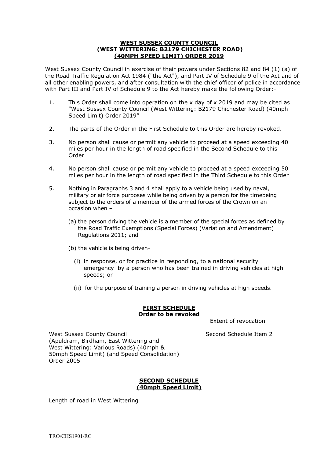#### **WEST SUSSEX COUNTY COUNCIL (WEST WITTERING: B2179 CHICHESTER ROAD) (40MPH SPEED LIMIT) ORDER 2019**

West Sussex County Council in exercise of their powers under Sections 82 and 84 (1) (a) of the Road Traffic Regulation Act 1984 ("the Act"), and Part IV of Schedule 9 of the Act and of all other enabling powers, and after consultation with the chief officer of police in accordance with Part III and Part IV of Schedule 9 to the Act hereby make the following Order:-

- 1. This Order shall come into operation on the x day of x 2019 and may be cited as "West Sussex County Council (West Wittering: B2179 Chichester Road) (40mph Speed Limit) Order 2019"
- 2. The parts of the Order in the First Schedule to this Order are hereby revoked.
- 3. No person shall cause or permit any vehicle to proceed at a speed exceeding 40 miles per hour in the length of road specified in the Second Schedule to this Order
- 4. No person shall cause or permit any vehicle to proceed at a speed exceeding 50 miles per hour in the length of road specified in the Third Schedule to this Order
- 5. Nothing in Paragraphs 3 and 4 shall apply to a vehicle being used by naval, military or air force purposes while being driven by a person for the timebeing subject to the orders of a member of the armed forces of the Crown on an occasion when –
	- (a) the person driving the vehicle is a member of the special forces as defined by the Road Traffic Exemptions (Special Forces) (Variation and Amendment) Regulations 2011; and
	- (b) the vehicle is being driven-
		- (i) in response, or for practice in responding, to a national security emergency by a person who has been trained in driving vehicles at high speeds; or
		- (ii) for the purpose of training a person in driving vehicles at high speeds.

# **FIRST SCHEDULE Order to be revoked**

Extent of revocation

West Sussex County Council November 2 Second Schedule Item 2 (Apuldram, Birdham, East Wittering and West Wittering: Various Roads) (40mph & 50mph Speed Limit) (and Speed Consolidation) Order 2005

### **SECOND SCHEDULE (40mph Speed Limit)**

Length of road in West Wittering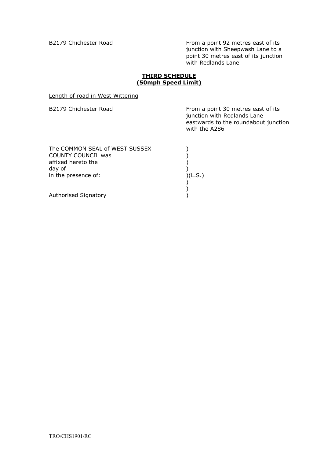B2179 Chichester Road From a point 92 metres east of its junction with Sheepwash Lane to a point 30 metres east of its junction with Redlands Lane

# **THIRD SCHEDULE (50mph Speed Limit)**

Length of road in West Wittering

| B2179 Chichester Road                                                                | From a point 30 metres east of its<br>junction with Redlands Lane<br>eastwards to the roundabout junction<br>with the A286 |
|--------------------------------------------------------------------------------------|----------------------------------------------------------------------------------------------------------------------------|
| The COMMON SEAL of WEST SUSSEX<br>COUNTY COUNCIL was<br>affixed hereto the<br>day of |                                                                                                                            |
| in the presence of:                                                                  | )(L.S.)                                                                                                                    |
| <b>Authorised Signatory</b>                                                          |                                                                                                                            |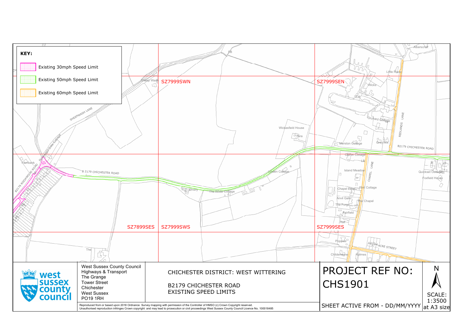